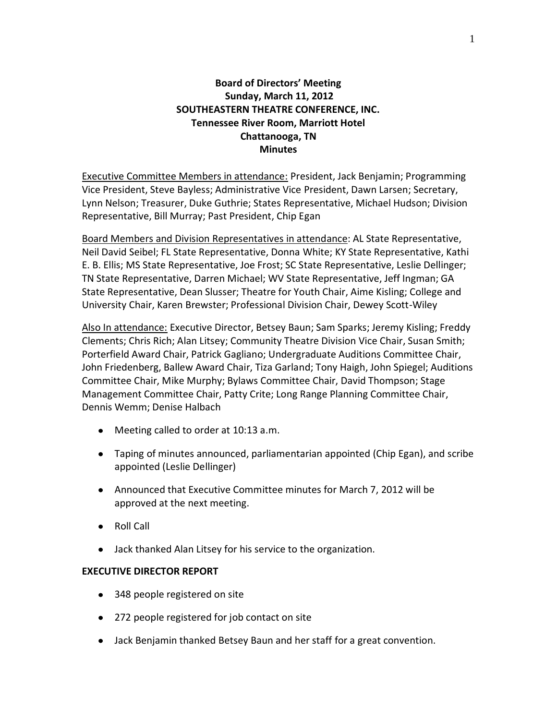# **Board of Directors' Meeting Sunday, March 11, 2012 SOUTHEASTERN THEATRE CONFERENCE, INC. Tennessee River Room, Marriott Hotel Chattanooga, TN Minutes**

Executive Committee Members in attendance: President, Jack Benjamin; Programming Vice President, Steve Bayless; Administrative Vice President, Dawn Larsen; Secretary, Lynn Nelson; Treasurer, Duke Guthrie; States Representative, Michael Hudson; Division Representative, Bill Murray; Past President, Chip Egan

Board Members and Division Representatives in attendance: AL State Representative, Neil David Seibel; FL State Representative, Donna White; KY State Representative, Kathi E. B. Ellis; MS State Representative, Joe Frost; SC State Representative, Leslie Dellinger; TN State Representative, Darren Michael; WV State Representative, Jeff Ingman; GA State Representative, Dean Slusser; Theatre for Youth Chair, Aime Kisling; College and University Chair, Karen Brewster; Professional Division Chair, Dewey Scott-Wiley

Also In attendance: Executive Director, Betsey Baun; Sam Sparks; Jeremy Kisling; Freddy Clements; Chris Rich; Alan Litsey; Community Theatre Division Vice Chair, Susan Smith; Porterfield Award Chair, Patrick Gagliano; Undergraduate Auditions Committee Chair, John Friedenberg, Ballew Award Chair, Tiza Garland; Tony Haigh, John Spiegel; Auditions Committee Chair, Mike Murphy; Bylaws Committee Chair, David Thompson; Stage Management Committee Chair, Patty Crite; Long Range Planning Committee Chair, Dennis Wemm; Denise Halbach

- Meeting called to order at 10:13 a.m.
- Taping of minutes announced, parliamentarian appointed (Chip Egan), and scribe appointed (Leslie Dellinger)
- Announced that Executive Committee minutes for March 7, 2012 will be approved at the next meeting.
- Roll Call
- Jack thanked Alan Litsey for his service to the organization.

# **EXECUTIVE DIRECTOR REPORT**

- 348 people registered on site
- 272 people registered for job contact on site
- Jack Benjamin thanked Betsey Baun and her staff for a great convention.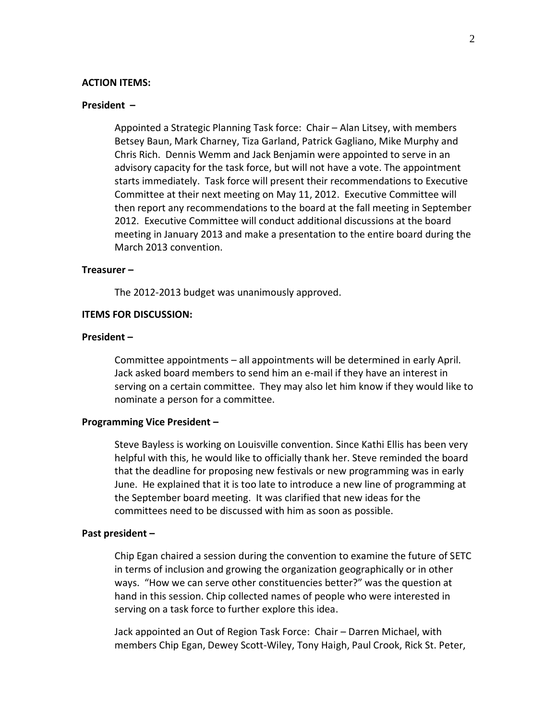#### **ACTION ITEMS:**

## **President –**

Appointed a Strategic Planning Task force: Chair – Alan Litsey, with members Betsey Baun, Mark Charney, Tiza Garland, Patrick Gagliano, Mike Murphy and Chris Rich. Dennis Wemm and Jack Benjamin were appointed to serve in an advisory capacity for the task force, but will not have a vote. The appointment starts immediately. Task force will present their recommendations to Executive Committee at their next meeting on May 11, 2012. Executive Committee will then report any recommendations to the board at the fall meeting in September 2012. Executive Committee will conduct additional discussions at the board meeting in January 2013 and make a presentation to the entire board during the March 2013 convention.

# **Treasurer –**

The 2012-2013 budget was unanimously approved.

## **ITEMS FOR DISCUSSION:**

#### **President –**

Committee appointments – all appointments will be determined in early April. Jack asked board members to send him an e-mail if they have an interest in serving on a certain committee. They may also let him know if they would like to nominate a person for a committee.

#### **Programming Vice President –**

Steve Bayless is working on Louisville convention. Since Kathi Ellis has been very helpful with this, he would like to officially thank her. Steve reminded the board that the deadline for proposing new festivals or new programming was in early June. He explained that it is too late to introduce a new line of programming at the September board meeting. It was clarified that new ideas for the committees need to be discussed with him as soon as possible.

#### **Past president –**

Chip Egan chaired a session during the convention to examine the future of SETC in terms of inclusion and growing the organization geographically or in other ways. "How we can serve other constituencies better?" was the question at hand in this session. Chip collected names of people who were interested in serving on a task force to further explore this idea.

Jack appointed an Out of Region Task Force: Chair – Darren Michael, with members Chip Egan, Dewey Scott-Wiley, Tony Haigh, Paul Crook, Rick St. Peter,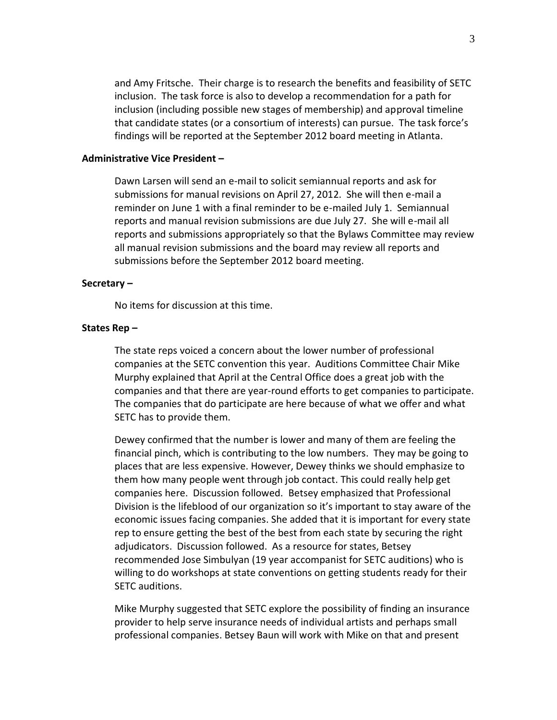and Amy Fritsche. Their charge is to research the benefits and feasibility of SETC inclusion. The task force is also to develop a recommendation for a path for inclusion (including possible new stages of membership) and approval timeline that candidate states (or a consortium of interests) can pursue. The task force's findings will be reported at the September 2012 board meeting in Atlanta.

### **Administrative Vice President –**

Dawn Larsen will send an e-mail to solicit semiannual reports and ask for submissions for manual revisions on April 27, 2012. She will then e-mail a reminder on June 1 with a final reminder to be e-mailed July 1. Semiannual reports and manual revision submissions are due July 27. She will e-mail all reports and submissions appropriately so that the Bylaws Committee may review all manual revision submissions and the board may review all reports and submissions before the September 2012 board meeting.

## **Secretary –**

No items for discussion at this time.

#### **States Rep –**

The state reps voiced a concern about the lower number of professional companies at the SETC convention this year. Auditions Committee Chair Mike Murphy explained that April at the Central Office does a great job with the companies and that there are year-round efforts to get companies to participate. The companies that do participate are here because of what we offer and what SETC has to provide them.

Dewey confirmed that the number is lower and many of them are feeling the financial pinch, which is contributing to the low numbers. They may be going to places that are less expensive. However, Dewey thinks we should emphasize to them how many people went through job contact. This could really help get companies here. Discussion followed. Betsey emphasized that Professional Division is the lifeblood of our organization so it's important to stay aware of the economic issues facing companies. She added that it is important for every state rep to ensure getting the best of the best from each state by securing the right adjudicators. Discussion followed. As a resource for states, Betsey recommended Jose Simbulyan (19 year accompanist for SETC auditions) who is willing to do workshops at state conventions on getting students ready for their SETC auditions.

Mike Murphy suggested that SETC explore the possibility of finding an insurance provider to help serve insurance needs of individual artists and perhaps small professional companies. Betsey Baun will work with Mike on that and present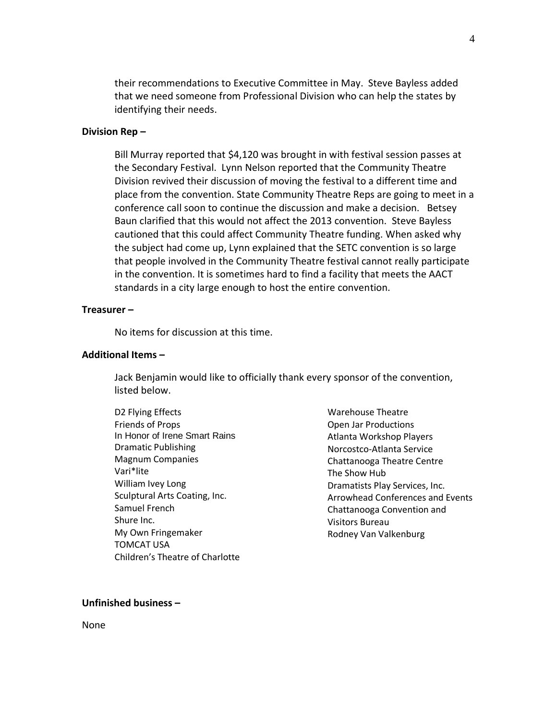their recommendations to Executive Committee in May. Steve Bayless added that we need someone from Professional Division who can help the states by identifying their needs.

## **Division Rep –**

Bill Murray reported that \$4,120 was brought in with festival session passes at the Secondary Festival. Lynn Nelson reported that the Community Theatre Division revived their discussion of moving the festival to a different time and place from the convention. State Community Theatre Reps are going to meet in a conference call soon to continue the discussion and make a decision. Betsey Baun clarified that this would not affect the 2013 convention. Steve Bayless cautioned that this could affect Community Theatre funding. When asked why the subject had come up, Lynn explained that the SETC convention is so large that people involved in the Community Theatre festival cannot really participate in the convention. It is sometimes hard to find a facility that meets the AACT standards in a city large enough to host the entire convention.

# **Treasurer –**

No items for discussion at this time.

## **Additional Items –**

Jack Benjamin would like to officially thank every sponsor of the convention, listed below.

D2 Flying Effects Friends of Props In Honor of Irene Smart Rains Dramatic Publishing Magnum Companies Vari\*lite William Ivey Long Sculptural Arts Coating, Inc. Samuel French Shure Inc. My Own Fringemaker TOMCAT USA Children's Theatre of Charlotte Warehouse Theatre Open Jar Productions Atlanta Workshop Players Norcostco-Atlanta Service Chattanooga Theatre Centre The Show Hub Dramatists Play Services, Inc. Arrowhead Conferences and Events Chattanooga Convention and Visitors Bureau Rodney Van Valkenburg

#### **Unfinished business –**

None